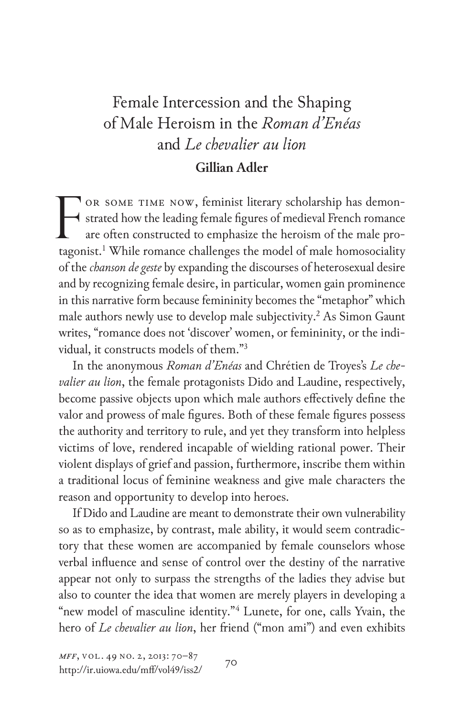## Female Intercession and the Shaping of Male Heroism in the *Roman d'Enéas* and *Le chevalier au lion* **Gillian Adler**

or some time now, feminist literary scholarship has demonstrated how the leading female figures of medieval French romance are often constructed to emphasize the heroism of the male protagonist.1 While romance challenges the model of male homosociality of the *chanson de geste* by expanding the discourses of heterosexual desire and by recognizing female desire, in particular, women gain prominence in this narrative form because femininity becomes the "metaphor" which male authors newly use to develop male subjectivity.<sup>2</sup> As Simon Gaunt writes, "romance does not 'discover' women, or femininity, or the individual, it constructs models of them."3 F

In the anonymous *Roman d'Enéas* and Chrétien de Troyes's *Le chevalier au lion*, the female protagonists Dido and Laudine, respectively, become passive objects upon which male authors effectively define the valor and prowess of male figures. Both of these female figures possess the authority and territory to rule, and yet they transform into helpless victims of love, rendered incapable of wielding rational power. Their violent displays of grief and passion, furthermore, inscribe them within a traditional locus of feminine weakness and give male characters the reason and opportunity to develop into heroes.

If Dido and Laudine are meant to demonstrate their own vulnerability so as to emphasize, by contrast, male ability, it would seem contradictory that these women are accompanied by female counselors whose verbal influence and sense of control over the destiny of the narrative appear not only to surpass the strengths of the ladies they advise but also to counter the idea that women are merely players in developing a "new model of masculine identity."4 Lunete, for one, calls Yvain, the hero of *Le chevalier au lion*, her friend ("mon ami") and even exhibits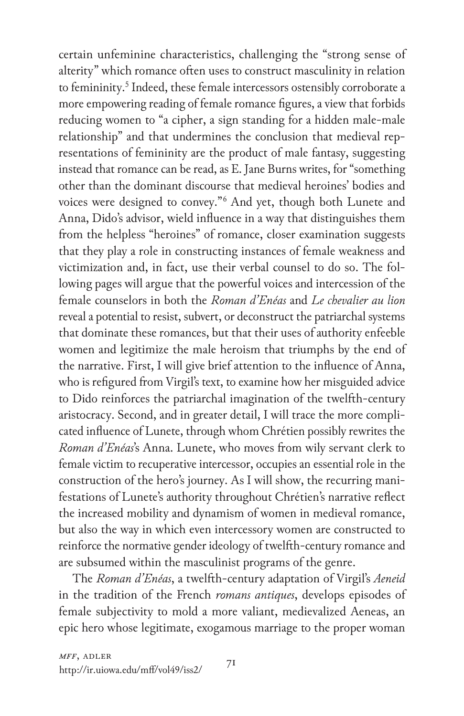certain unfeminine characteristics, challenging the "strong sense of alterity" which romance often uses to construct masculinity in relation to femininity.<sup>5</sup> Indeed, these female intercessors ostensibly corroborate a more empowering reading of female romance figures, a view that forbids reducing women to "a cipher, a sign standing for a hidden male-male relationship" and that undermines the conclusion that medieval representations of femininity are the product of male fantasy, suggesting instead that romance can be read, as E. Jane Burns writes, for "something other than the dominant discourse that medieval heroines' bodies and voices were designed to convey."6 And yet, though both Lunete and Anna, Dido's advisor, wield influence in a way that distinguishes them from the helpless "heroines" of romance, closer examination suggests that they play a role in constructing instances of female weakness and victimization and, in fact, use their verbal counsel to do so. The following pages will argue that the powerful voices and intercession of the female counselors in both the *Roman d'Enéas* and *Le chevalier au lion* reveal a potential to resist, subvert, or deconstruct the patriarchal systems that dominate these romances, but that their uses of authority enfeeble women and legitimize the male heroism that triumphs by the end of the narrative. First, I will give brief attention to the influence of Anna, who is refigured from Virgil's text, to examine how her misguided advice to Dido reinforces the patriarchal imagination of the twelfth-century aristocracy. Second, and in greater detail, I will trace the more complicated influence of Lunete, through whom Chrétien possibly rewrites the *Roman d'Enéas*'s Anna. Lunete, who moves from wily servant clerk to female victim to recuperative intercessor, occupies an essential role in the construction of the hero's journey. As I will show, the recurring manifestations of Lunete's authority throughout Chrétien's narrative reflect the increased mobility and dynamism of women in medieval romance, but also the way in which even intercessory women are constructed to reinforce the normative gender ideology of twelfth-century romance and are subsumed within the masculinist programs of the genre.

The *Roman d'Enéas*, a twelfth-century adaptation of Virgil's *Aeneid*  in the tradition of the French *romans antiques*, develops episodes of female subjectivity to mold a more valiant, medievalized Aeneas, an epic hero whose legitimate, exogamous marriage to the proper woman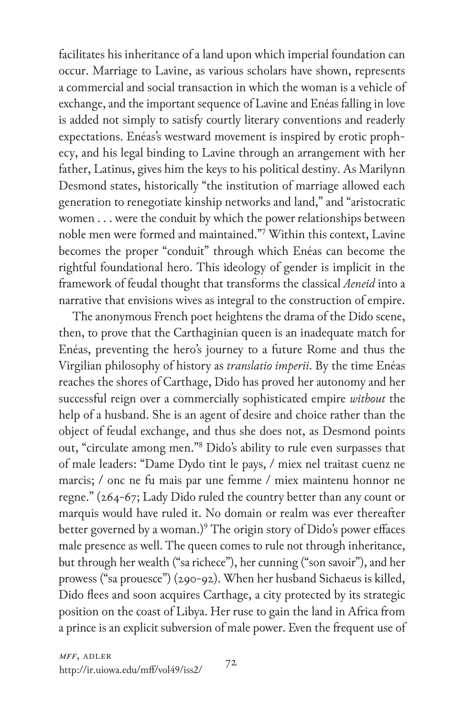facilitates his inheritance of a land upon which imperial foundation can occur. Marriage to Lavine, as various scholars have shown, represents a commercial and social transaction in which the woman is a vehicle of exchange, and the important sequence of Lavine and Enéas falling in love is added not simply to satisfy courtly literary conventions and readerly expectations. Enéas's westward movement is inspired by erotic prophecy, and his legal binding to Lavine through an arrangement with her father, Latinus, gives him the keys to his political destiny. As Marilynn Desmond states, historically "the institution of marriage allowed each generation to renegotiate kinship networks and land," and "aristocratic women . . . were the conduit by which the power relationships between noble men were formed and maintained."7 Within this context, Lavine becomes the proper "conduit" through which Enéas can become the rightful foundational hero. This ideology of gender is implicit in the framework of feudal thought that transforms the classical *Aeneid* into a narrative that envisions wives as integral to the construction of empire.

The anonymous French poet heightens the drama of the Dido scene, then, to prove that the Carthaginian queen is an inadequate match for Enéas, preventing the hero's journey to a future Rome and thus the Virgilian philosophy of history as *translatio imperii*. By the time Enéas reaches the shores of Carthage, Dido has proved her autonomy and her successful reign over a commercially sophisticated empire *without* the help of a husband. She is an agent of desire and choice rather than the object of feudal exchange, and thus she does not, as Desmond points out, "circulate among men."8 Dido's ability to rule even surpasses that of male leaders: "Dame Dydo tint le pays, / miex nel traitast cuenz ne marcis; / onc ne fu mais par une femme / miex maintenu honnor ne regne." (264-67; Lady Dido ruled the country better than any count or marquis would have ruled it. No domain or realm was ever thereafter better governed by a woman.)<sup>9</sup> The origin story of Dido's power effaces male presence as well. The queen comes to rule not through inheritance, but through her wealth ("sa richece"), her cunning ("son savoir"), and her prowess ("sa prouesce") (290-92). When her husband Sichaeus is killed, Dido flees and soon acquires Carthage, a city protected by its strategic position on the coast of Libya. Her ruse to gain the land in Africa from a prince is an explicit subversion of male power. Even the frequent use of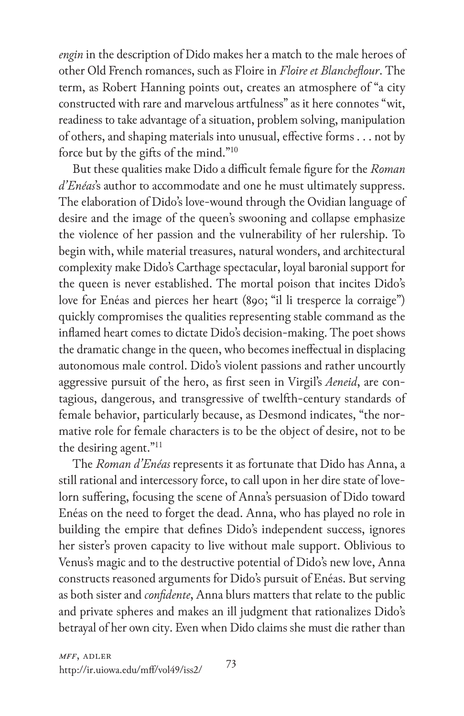*engin* in the description of Dido makes her a match to the male heroes of other Old French romances, such as Floire in *Floire et Blancheflour*. The term, as Robert Hanning points out, creates an atmosphere of "a city constructed with rare and marvelous artfulness" as it here connotes "wit, readiness to take advantage of a situation, problem solving, manipulation of others, and shaping materials into unusual, effective forms . . . not by force but by the gifts of the mind."10

But these qualities make Dido a difficult female figure for the *Roman d'Enéas*'s author to accommodate and one he must ultimately suppress. The elaboration of Dido's love-wound through the Ovidian language of desire and the image of the queen's swooning and collapse emphasize the violence of her passion and the vulnerability of her rulership. To begin with, while material treasures, natural wonders, and architectural complexity make Dido's Carthage spectacular, loyal baronial support for the queen is never established. The mortal poison that incites Dido's love for Enéas and pierces her heart (890; "il li tresperce la corraige") quickly compromises the qualities representing stable command as the inflamed heart comes to dictate Dido's decision-making. The poet shows the dramatic change in the queen, who becomes ineffectual in displacing autonomous male control. Dido's violent passions and rather uncourtly aggressive pursuit of the hero, as first seen in Virgil's *Aeneid*, are contagious, dangerous, and transgressive of twelfth-century standards of female behavior, particularly because, as Desmond indicates, "the normative role for female characters is to be the object of desire, not to be the desiring agent."11

The *Roman d'Enéas* represents it as fortunate that Dido has Anna, a still rational and intercessory force, to call upon in her dire state of lovelorn suffering, focusing the scene of Anna's persuasion of Dido toward Enéas on the need to forget the dead. Anna, who has played no role in building the empire that defines Dido's independent success, ignores her sister's proven capacity to live without male support. Oblivious to Venus's magic and to the destructive potential of Dido's new love, Anna constructs reasoned arguments for Dido's pursuit of Enéas. But serving as both sister and *confidente*, Anna blurs matters that relate to the public and private spheres and makes an ill judgment that rationalizes Dido's betrayal of her own city. Even when Dido claims she must die rather than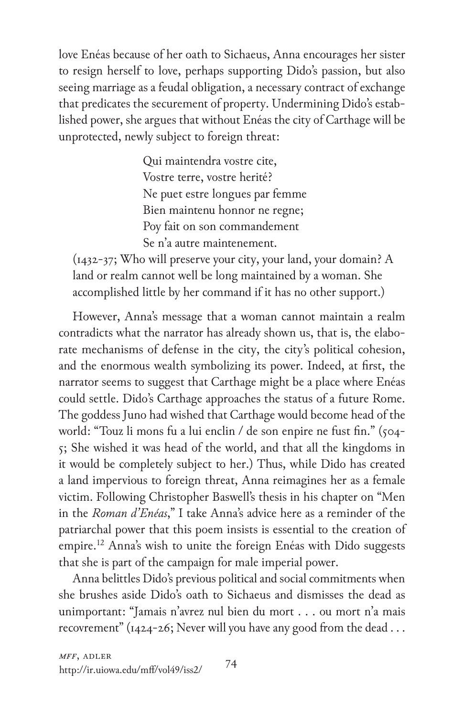love Enéas because of her oath to Sichaeus, Anna encourages her sister to resign herself to love, perhaps supporting Dido's passion, but also seeing marriage as a feudal obligation, a necessary contract of exchange that predicates the securement of property. Undermining Dido's established power, she argues that without Enéas the city of Carthage will be unprotected, newly subject to foreign threat:

> Qui maintendra vostre cite, Vostre terre, vostre herité? Ne puet estre longues par femme Bien maintenu honnor ne regne; Poy fait on son commandement Se n'a autre maintenement.

(1432-37; Who will preserve your city, your land, your domain? A land or realm cannot well be long maintained by a woman. She accomplished little by her command if it has no other support.)

However, Anna's message that a woman cannot maintain a realm contradicts what the narrator has already shown us, that is, the elaborate mechanisms of defense in the city, the city's political cohesion, and the enormous wealth symbolizing its power. Indeed, at first, the narrator seems to suggest that Carthage might be a place where Enéas could settle. Dido's Carthage approaches the status of a future Rome. The goddess Juno had wished that Carthage would become head of the world: "Touz li mons fu a lui enclin / de son enpire ne fust fin." (504-5; She wished it was head of the world, and that all the kingdoms in it would be completely subject to her.) Thus, while Dido has created a land impervious to foreign threat, Anna reimagines her as a female victim. Following Christopher Baswell's thesis in his chapter on "Men in the *Roman d'Enéas*," I take Anna's advice here as a reminder of the patriarchal power that this poem insists is essential to the creation of empire.<sup>12</sup> Anna's wish to unite the foreign Enéas with Dido suggests that she is part of the campaign for male imperial power.

Anna belittles Dido's previous political and social commitments when she brushes aside Dido's oath to Sichaeus and dismisses the dead as unimportant: "Jamais n'avrez nul bien du mort . . . ou mort n'a mais recovrement" ( $1424-26$ ; Never will you have any good from the dead ...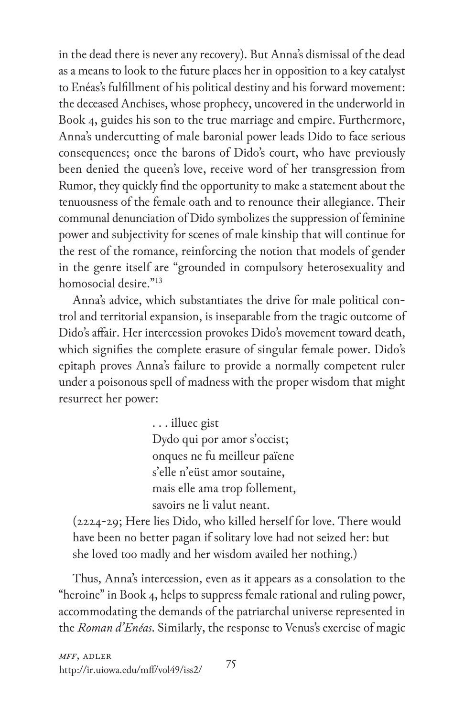in the dead there is never any recovery). But Anna's dismissal of the dead as a means to look to the future places her in opposition to a key catalyst to Enéas's fulfillment of his political destiny and his forward movement: the deceased Anchises, whose prophecy, uncovered in the underworld in Book 4, guides his son to the true marriage and empire. Furthermore, Anna's undercutting of male baronial power leads Dido to face serious consequences; once the barons of Dido's court, who have previously been denied the queen's love, receive word of her transgression from Rumor, they quickly find the opportunity to make a statement about the tenuousness of the female oath and to renounce their allegiance. Their communal denunciation of Dido symbolizes the suppression of feminine power and subjectivity for scenes of male kinship that will continue for the rest of the romance, reinforcing the notion that models of gender in the genre itself are "grounded in compulsory heterosexuality and homosocial desire."13

Anna's advice, which substantiates the drive for male political control and territorial expansion, is inseparable from the tragic outcome of Dido's affair. Her intercession provokes Dido's movement toward death, which signifies the complete erasure of singular female power. Dido's epitaph proves Anna's failure to provide a normally competent ruler under a poisonous spell of madness with the proper wisdom that might resurrect her power:

> . . . illuec gist Dydo qui por amor s'occist; onques ne fu meilleur païene s'elle n'eüst amor soutaine, mais elle ama trop follement, savoirs ne li valut neant.

(2224-29; Here lies Dido, who killed herself for love. There would have been no better pagan if solitary love had not seized her: but she loved too madly and her wisdom availed her nothing.)

Thus, Anna's intercession, even as it appears as a consolation to the "heroine" in Book 4, helps to suppress female rational and ruling power, accommodating the demands of the patriarchal universe represented in the *Roman d'Enéas*. Similarly, the response to Venus's exercise of magic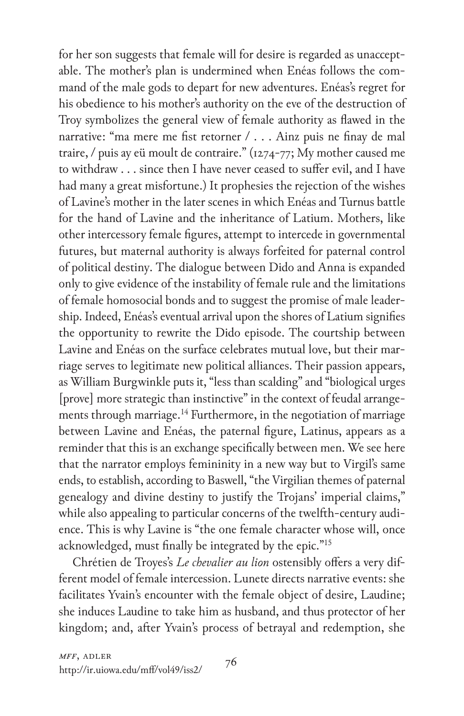for her son suggests that female will for desire is regarded as unacceptable. The mother's plan is undermined when Enéas follows the command of the male gods to depart for new adventures. Enéas's regret for his obedience to his mother's authority on the eve of the destruction of Troy symbolizes the general view of female authority as flawed in the narrative: "ma mere me fist retorner / . . . Ainz puis ne finay de mal traire, / puis ay eü moult de contraire." (1274-77; My mother caused me to withdraw . . . since then I have never ceased to suffer evil, and I have had many a great misfortune.) It prophesies the rejection of the wishes of Lavine's mother in the later scenes in which Enéas and Turnus battle for the hand of Lavine and the inheritance of Latium. Mothers, like other intercessory female figures, attempt to intercede in governmental futures, but maternal authority is always forfeited for paternal control of political destiny. The dialogue between Dido and Anna is expanded only to give evidence of the instability of female rule and the limitations of female homosocial bonds and to suggest the promise of male leadership. Indeed, Enéas's eventual arrival upon the shores of Latium signifies the opportunity to rewrite the Dido episode. The courtship between Lavine and Enéas on the surface celebrates mutual love, but their marriage serves to legitimate new political alliances. Their passion appears, as William Burgwinkle puts it, "less than scalding" and "biological urges [prove] more strategic than instinctive" in the context of feudal arrangements through marriage.<sup>14</sup> Furthermore, in the negotiation of marriage between Lavine and Enéas, the paternal figure, Latinus, appears as a reminder that this is an exchange specifically between men. We see here that the narrator employs femininity in a new way but to Virgil's same ends, to establish, according to Baswell, "the Virgilian themes of paternal genealogy and divine destiny to justify the Trojans' imperial claims," while also appealing to particular concerns of the twelfth-century audience. This is why Lavine is "the one female character whose will, once acknowledged, must finally be integrated by the epic."<sup>15</sup>

Chrétien de Troyes's *Le chevalier au lion* ostensibly offers a very different model of female intercession. Lunete directs narrative events: she facilitates Yvain's encounter with the female object of desire, Laudine; she induces Laudine to take him as husband, and thus protector of her kingdom; and, after Yvain's process of betrayal and redemption, she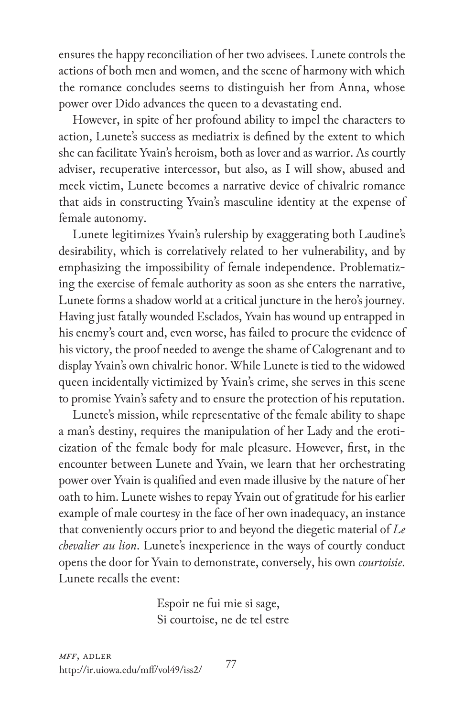ensures the happy reconciliation of her two advisees. Lunete controls the actions of both men and women, and the scene of harmony with which the romance concludes seems to distinguish her from Anna, whose power over Dido advances the queen to a devastating end.

However, in spite of her profound ability to impel the characters to action, Lunete's success as mediatrix is defined by the extent to which she can facilitate Yvain's heroism, both as lover and as warrior. As courtly adviser, recuperative intercessor, but also, as I will show, abused and meek victim, Lunete becomes a narrative device of chivalric romance that aids in constructing Yvain's masculine identity at the expense of female autonomy.

Lunete legitimizes Yvain's rulership by exaggerating both Laudine's desirability, which is correlatively related to her vulnerability, and by emphasizing the impossibility of female independence. Problematizing the exercise of female authority as soon as she enters the narrative, Lunete forms a shadow world at a critical juncture in the hero's journey. Having just fatally wounded Esclados, Yvain has wound up entrapped in his enemy's court and, even worse, has failed to procure the evidence of his victory, the proof needed to avenge the shame of Calogrenant and to display Yvain's own chivalric honor. While Lunete is tied to the widowed queen incidentally victimized by Yvain's crime, she serves in this scene to promise Yvain's safety and to ensure the protection of his reputation.

Lunete's mission, while representative of the female ability to shape a man's destiny, requires the manipulation of her Lady and the eroticization of the female body for male pleasure. However, first, in the encounter between Lunete and Yvain, we learn that her orchestrating power over Yvain is qualified and even made illusive by the nature of her oath to him. Lunete wishes to repay Yvain out of gratitude for his earlier example of male courtesy in the face of her own inadequacy, an instance that conveniently occurs prior to and beyond the diegetic material of *Le chevalier au lion*. Lunete's inexperience in the ways of courtly conduct opens the door for Yvain to demonstrate, conversely, his own *courtoisie*. Lunete recalls the event:

> Espoir ne fui mie si sage, Si courtoise, ne de tel estre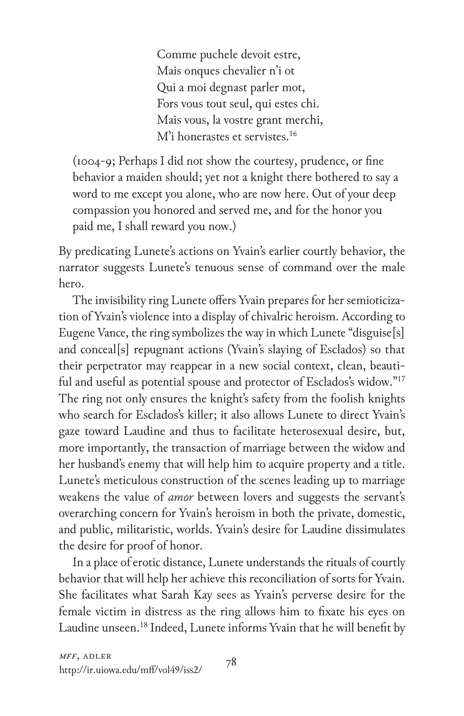Comme puchele devoit estre, Mais onques chevalier n'i ot Qui a moi degnast parler mot, Fors vous tout seul, qui estes chi. Mais vous, la vostre grant merchi, M'i honerastes et servistes.<sup>16</sup>

(1004-9; Perhaps I did not show the courtesy, prudence, or fine behavior a maiden should; yet not a knight there bothered to say a word to me except you alone, who are now here. Out of your deep compassion you honored and served me, and for the honor you paid me, I shall reward you now.)

By predicating Lunete's actions on Yvain's earlier courtly behavior, the narrator suggests Lunete's tenuous sense of command over the male hero.

The invisibility ring Lunete offers Yvain prepares for her semioticization of Yvain's violence into a display of chivalric heroism. According to Eugene Vance, the ring symbolizes the way in which Lunete "disguise[s] and conceal[s] repugnant actions (Yvain's slaying of Esclados) so that their perpetrator may reappear in a new social context, clean, beautiful and useful as potential spouse and protector of Esclados's widow."17 The ring not only ensures the knight's safety from the foolish knights who search for Esclados's killer; it also allows Lunete to direct Yvain's gaze toward Laudine and thus to facilitate heterosexual desire, but, more importantly, the transaction of marriage between the widow and her husband's enemy that will help him to acquire property and a title. Lunete's meticulous construction of the scenes leading up to marriage weakens the value of *amor* between lovers and suggests the servant's overarching concern for Yvain's heroism in both the private, domestic, and public, militaristic, worlds. Yvain's desire for Laudine dissimulates the desire for proof of honor.

In a place of erotic distance, Lunete understands the rituals of courtly behavior that will help her achieve this reconciliation of sorts for Yvain. She facilitates what Sarah Kay sees as Yvain's perverse desire for the female victim in distress as the ring allows him to fixate his eyes on Laudine unseen.18 Indeed, Lunete informs Yvain that he will benefit by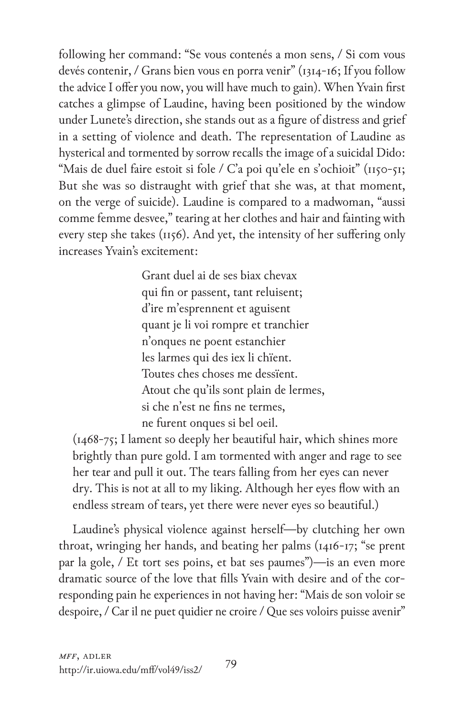following her command: "Se vous contenés a mon sens, / Si com vous devés contenir, / Grans bien vous en porra venir" (1314-16; If you follow the advice I offer you now, you will have much to gain). When Yvain first catches a glimpse of Laudine, having been positioned by the window under Lunete's direction, she stands out as a figure of distress and grief in a setting of violence and death. The representation of Laudine as hysterical and tormented by sorrow recalls the image of a suicidal Dido: "Mais de duel faire estoit si fole / C'a poi qu'ele en s'ochioit" (1150-51; But she was so distraught with grief that she was, at that moment, on the verge of suicide). Laudine is compared to a madwoman, "aussi comme femme desvee," tearing at her clothes and hair and fainting with every step she takes (1156). And yet, the intensity of her suffering only increases Yvain's excitement:

> Grant duel ai de ses biax chevax qui fin or passent, tant reluisent; d'ire m'esprennent et aguisent quant je li voi rompre et tranchier n'onques ne poent estanchier les larmes qui des iex li chïent. Toutes ches choses me dessïent. Atout che qu'ils sont plain de lermes, si che n'est ne fins ne termes, ne furent onques si bel oeil.

(1468-75; I lament so deeply her beautiful hair, which shines more brightly than pure gold. I am tormented with anger and rage to see her tear and pull it out. The tears falling from her eyes can never dry. This is not at all to my liking. Although her eyes flow with an endless stream of tears, yet there were never eyes so beautiful.)

Laudine's physical violence against herself—by clutching her own throat, wringing her hands, and beating her palms (1416-17; "se prent par la gole, / Et tort ses poins, et bat ses paumes")—is an even more dramatic source of the love that fills Yvain with desire and of the corresponding pain he experiences in not having her: "Mais de son voloir se despoire, / Car il ne puet quidier ne croire / Que ses voloirs puisse avenir"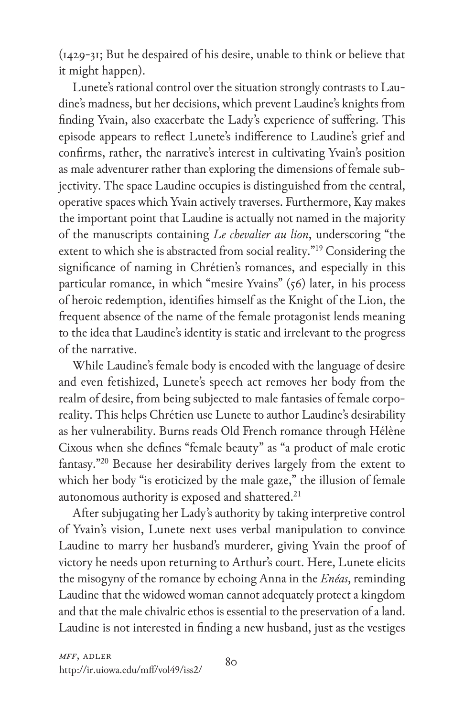(1429-31; But he despaired of his desire, unable to think or believe that it might happen).

Lunete's rational control over the situation strongly contrasts to Laudine's madness, but her decisions, which prevent Laudine's knights from finding Yvain, also exacerbate the Lady's experience of suffering. This episode appears to reflect Lunete's indifference to Laudine's grief and confirms, rather, the narrative's interest in cultivating Yvain's position as male adventurer rather than exploring the dimensions of female subjectivity. The space Laudine occupies is distinguished from the central, operative spaces which Yvain actively traverses. Furthermore, Kay makes the important point that Laudine is actually not named in the majority of the manuscripts containing *Le chevalier au lion*, underscoring "the extent to which she is abstracted from social reality."<sup>19</sup> Considering the significance of naming in Chrétien's romances, and especially in this particular romance, in which "mesire Yvains" (56) later, in his process of heroic redemption, identifies himself as the Knight of the Lion, the frequent absence of the name of the female protagonist lends meaning to the idea that Laudine's identity is static and irrelevant to the progress of the narrative.

While Laudine's female body is encoded with the language of desire and even fetishized, Lunete's speech act removes her body from the realm of desire, from being subjected to male fantasies of female corporeality. This helps Chrétien use Lunete to author Laudine's desirability as her vulnerability. Burns reads Old French romance through Hélène Cixous when she defines "female beauty" as "a product of male erotic fantasy."20 Because her desirability derives largely from the extent to which her body "is eroticized by the male gaze," the illusion of female autonomous authority is exposed and shattered.<sup>21</sup>

After subjugating her Lady's authority by taking interpretive control of Yvain's vision, Lunete next uses verbal manipulation to convince Laudine to marry her husband's murderer, giving Yvain the proof of victory he needs upon returning to Arthur's court. Here, Lunete elicits the misogyny of the romance by echoing Anna in the *Enéas*, reminding Laudine that the widowed woman cannot adequately protect a kingdom and that the male chivalric ethos is essential to the preservation of a land. Laudine is not interested in finding a new husband, just as the vestiges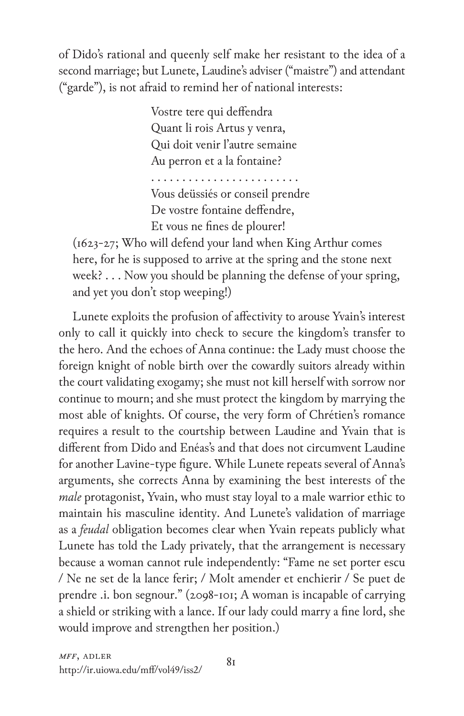of Dido's rational and queenly self make her resistant to the idea of a second marriage; but Lunete, Laudine's adviser ("maistre") and attendant ("garde"), is not afraid to remind her of national interests:

> Vostre tere qui deffendra Quant li rois Artus y venra, Qui doit venir l'autre semaine Au perron et a la fontaine?

. . . . . . . . . . . . . . . . . . . . . . . . Vous deüssiés or conseil prendre De vostre fontaine deffendre, Et vous ne fines de plourer!

(1623-27; Who will defend your land when King Arthur comes here, for he is supposed to arrive at the spring and the stone next week? . . . Now you should be planning the defense of your spring, and yet you don't stop weeping!)

Lunete exploits the profusion of affectivity to arouse Yvain's interest only to call it quickly into check to secure the kingdom's transfer to the hero. And the echoes of Anna continue: the Lady must choose the foreign knight of noble birth over the cowardly suitors already within the court validating exogamy; she must not kill herself with sorrow nor continue to mourn; and she must protect the kingdom by marrying the most able of knights. Of course, the very form of Chrétien's romance requires a result to the courtship between Laudine and Yvain that is different from Dido and Enéas's and that does not circumvent Laudine for another Lavine-type figure. While Lunete repeats several of Anna's arguments, she corrects Anna by examining the best interests of the *male* protagonist, Yvain, who must stay loyal to a male warrior ethic to maintain his masculine identity. And Lunete's validation of marriage as a *feudal* obligation becomes clear when Yvain repeats publicly what Lunete has told the Lady privately, that the arrangement is necessary because a woman cannot rule independently: "Fame ne set porter escu / Ne ne set de la lance ferir; / Molt amender et enchierir / Se puet de prendre .i. bon segnour." (2098-101; A woman is incapable of carrying a shield or striking with a lance. If our lady could marry a fine lord, she would improve and strengthen her position.)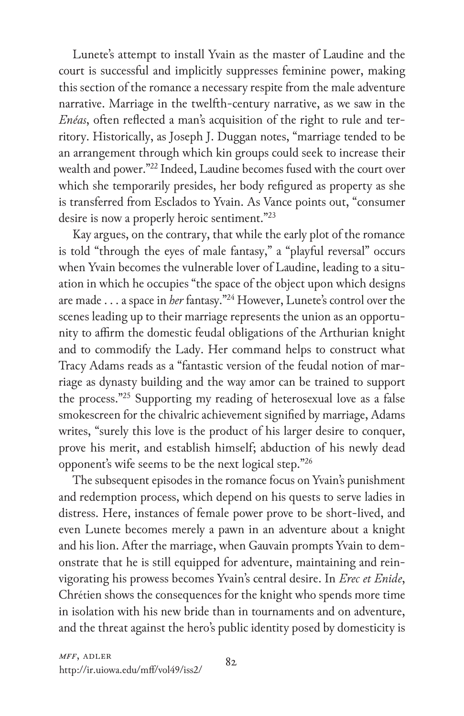Lunete's attempt to install Yvain as the master of Laudine and the court is successful and implicitly suppresses feminine power, making this section of the romance a necessary respite from the male adventure narrative. Marriage in the twelfth-century narrative, as we saw in the *Enéas*, often reflected a man's acquisition of the right to rule and territory. Historically, as Joseph J. Duggan notes, "marriage tended to be an arrangement through which kin groups could seek to increase their wealth and power."22 Indeed, Laudine becomes fused with the court over which she temporarily presides, her body refigured as property as she is transferred from Esclados to Yvain. As Vance points out, "consumer desire is now a properly heroic sentiment."<sup>23</sup>

Kay argues, on the contrary, that while the early plot of the romance is told "through the eyes of male fantasy," a "playful reversal" occurs when Yvain becomes the vulnerable lover of Laudine, leading to a situation in which he occupies "the space of the object upon which designs are made . . . a space in *her* fantasy."24 However, Lunete's control over the scenes leading up to their marriage represents the union as an opportunity to affirm the domestic feudal obligations of the Arthurian knight and to commodify the Lady. Her command helps to construct what Tracy Adams reads as a "fantastic version of the feudal notion of marriage as dynasty building and the way amor can be trained to support the process."25 Supporting my reading of heterosexual love as a false smokescreen for the chivalric achievement signified by marriage, Adams writes, "surely this love is the product of his larger desire to conquer, prove his merit, and establish himself; abduction of his newly dead opponent's wife seems to be the next logical step."26

The subsequent episodes in the romance focus on Yvain's punishment and redemption process, which depend on his quests to serve ladies in distress. Here, instances of female power prove to be short-lived, and even Lunete becomes merely a pawn in an adventure about a knight and his lion. After the marriage, when Gauvain prompts Yvain to demonstrate that he is still equipped for adventure, maintaining and reinvigorating his prowess becomes Yvain's central desire. In *Erec et Enide*, Chrétien shows the consequences for the knight who spends more time in isolation with his new bride than in tournaments and on adventure, and the threat against the hero's public identity posed by domesticity is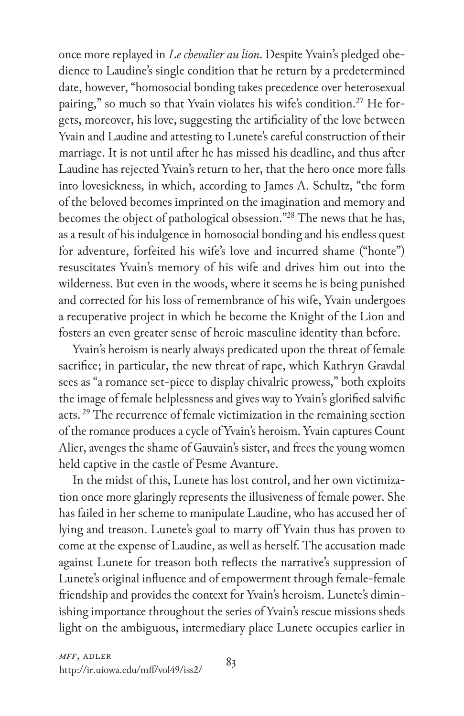once more replayed in *Le chevalier au lion*. Despite Yvain's pledged obedience to Laudine's single condition that he return by a predetermined date, however, "homosocial bonding takes precedence over heterosexual pairing," so much so that Yvain violates his wife's condition.<sup>27</sup> He forgets, moreover, his love, suggesting the artificiality of the love between Yvain and Laudine and attesting to Lunete's careful construction of their marriage. It is not until after he has missed his deadline, and thus after Laudine has rejected Yvain's return to her, that the hero once more falls into lovesickness, in which, according to James A. Schultz, "the form of the beloved becomes imprinted on the imagination and memory and becomes the object of pathological obsession."28 The news that he has, as a result of his indulgence in homosocial bonding and his endless quest for adventure, forfeited his wife's love and incurred shame ("honte") resuscitates Yvain's memory of his wife and drives him out into the wilderness. But even in the woods, where it seems he is being punished and corrected for his loss of remembrance of his wife, Yvain undergoes a recuperative project in which he become the Knight of the Lion and fosters an even greater sense of heroic masculine identity than before.

Yvain's heroism is nearly always predicated upon the threat of female sacrifice; in particular, the new threat of rape, which Kathryn Gravdal sees as "a romance set-piece to display chivalric prowess," both exploits the image of female helplessness and gives way to Yvain's glorified salvific acts.<sup>29</sup> The recurrence of female victimization in the remaining section of the romance produces a cycle of Yvain's heroism. Yvain captures Count Alier, avenges the shame of Gauvain's sister, and frees the young women held captive in the castle of Pesme Avanture.

In the midst of this, Lunete has lost control, and her own victimization once more glaringly represents the illusiveness of female power. She has failed in her scheme to manipulate Laudine, who has accused her of lying and treason. Lunete's goal to marry off Yvain thus has proven to come at the expense of Laudine, as well as herself. The accusation made against Lunete for treason both reflects the narrative's suppression of Lunete's original influence and of empowerment through female-female friendship and provides the context for Yvain's heroism. Lunete's diminishing importance throughout the series of Yvain's rescue missions sheds light on the ambiguous, intermediary place Lunete occupies earlier in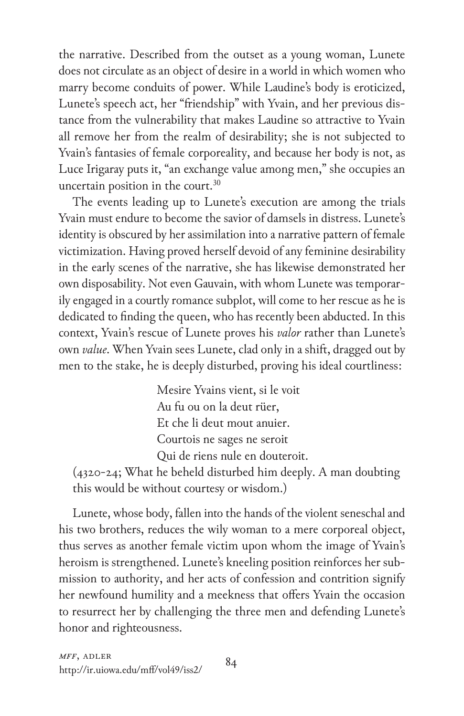the narrative. Described from the outset as a young woman, Lunete does not circulate as an object of desire in a world in which women who marry become conduits of power. While Laudine's body is eroticized, Lunete's speech act, her "friendship" with Yvain, and her previous distance from the vulnerability that makes Laudine so attractive to Yvain all remove her from the realm of desirability; she is not subjected to Yvain's fantasies of female corporeality, and because her body is not, as Luce Irigaray puts it, "an exchange value among men," she occupies an uncertain position in the court.<sup>30</sup>

The events leading up to Lunete's execution are among the trials Yvain must endure to become the savior of damsels in distress. Lunete's identity is obscured by her assimilation into a narrative pattern of female victimization. Having proved herself devoid of any feminine desirability in the early scenes of the narrative, she has likewise demonstrated her own disposability. Not even Gauvain, with whom Lunete was temporarily engaged in a courtly romance subplot, will come to her rescue as he is dedicated to finding the queen, who has recently been abducted. In this context, Yvain's rescue of Lunete proves his *valor* rather than Lunete's own *value*. When Yvain sees Lunete, clad only in a shift, dragged out by men to the stake, he is deeply disturbed, proving his ideal courtliness:

> Mesire Yvains vient, si le voit Au fu ou on la deut rüer, Et che li deut mout anuier. Courtois ne sages ne seroit Qui de riens nule en douteroit.

(4320-24; What he beheld disturbed him deeply. A man doubting this would be without courtesy or wisdom.)

Lunete, whose body, fallen into the hands of the violent seneschal and his two brothers, reduces the wily woman to a mere corporeal object, thus serves as another female victim upon whom the image of Yvain's heroism is strengthened. Lunete's kneeling position reinforces her submission to authority, and her acts of confession and contrition signify her newfound humility and a meekness that offers Yvain the occasion to resurrect her by challenging the three men and defending Lunete's honor and righteousness.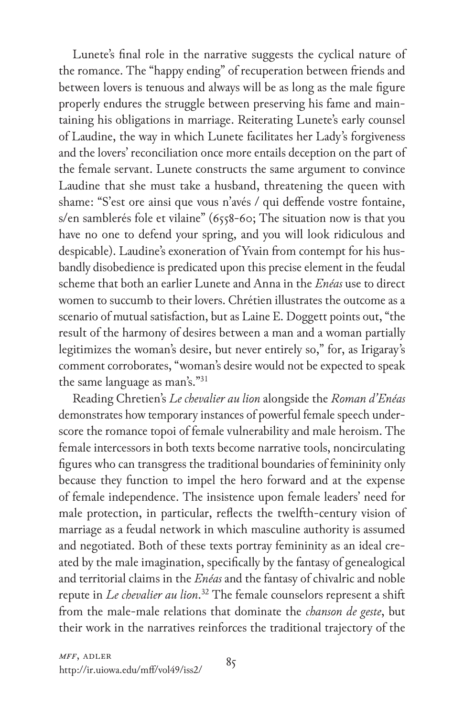Lunete's final role in the narrative suggests the cyclical nature of the romance. The "happy ending" of recuperation between friends and between lovers is tenuous and always will be as long as the male figure properly endures the struggle between preserving his fame and maintaining his obligations in marriage. Reiterating Lunete's early counsel of Laudine, the way in which Lunete facilitates her Lady's forgiveness and the lovers' reconciliation once more entails deception on the part of the female servant. Lunete constructs the same argument to convince Laudine that she must take a husband, threatening the queen with shame: "S'est ore ainsi que vous n'avés / qui deffende vostre fontaine, s/en samblerés fole et vilaine" (6558-60; The situation now is that you have no one to defend your spring, and you will look ridiculous and despicable). Laudine's exoneration of Yvain from contempt for his husbandly disobedience is predicated upon this precise element in the feudal scheme that both an earlier Lunete and Anna in the *Enéas* use to direct women to succumb to their lovers. Chrétien illustrates the outcome as a scenario of mutual satisfaction, but as Laine E. Doggett points out, "the result of the harmony of desires between a man and a woman partially legitimizes the woman's desire, but never entirely so," for, as Irigaray's comment corroborates, "woman's desire would not be expected to speak the same language as man's."31

Reading Chretien's *Le chevalier au lion* alongside the *Roman d'Enéas* demonstrates how temporary instances of powerful female speech underscore the romance topoi of female vulnerability and male heroism. The female intercessors in both texts become narrative tools, noncirculating figures who can transgress the traditional boundaries of femininity only because they function to impel the hero forward and at the expense of female independence. The insistence upon female leaders' need for male protection, in particular, reflects the twelfth-century vision of marriage as a feudal network in which masculine authority is assumed and negotiated. Both of these texts portray femininity as an ideal created by the male imagination, specifically by the fantasy of genealogical and territorial claims in the *Enéas* and the fantasy of chivalric and noble repute in *Le chevalier au lion*. 32 The female counselors represent a shift from the male-male relations that dominate the *chanson de geste*, but their work in the narratives reinforces the traditional trajectory of the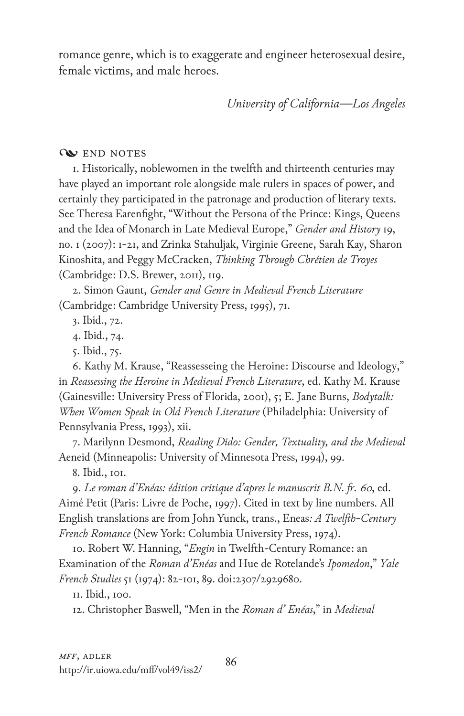romance genre, which is to exaggerate and engineer heterosexual desire, female victims, and male heroes.

*University of California—Los Angeles*

## **Q** END NOTES

1. Historically, noblewomen in the twelfth and thirteenth centuries may have played an important role alongside male rulers in spaces of power, and certainly they participated in the patronage and production of literary texts. See Theresa Earenfight, "Without the Persona of the Prince: Kings, Queens and the Idea of Monarch in Late Medieval Europe," *Gender and History* 19, no. 1 (2007): 1-21, and Zrinka Stahuljak, Virginie Greene, Sarah Kay, Sharon Kinoshita, and Peggy McCracken, *Thinking Through Chrétien de Troyes* (Cambridge: D.S. Brewer, 2011), 119.

2. Simon Gaunt, *Gender and Genre in Medieval French Literature* (Cambridge: Cambridge University Press, 1995), 71.

3. Ibid., 72.

4. Ibid., 74.

5. Ibid., 75.

6. Kathy M. Krause, "Reassesseing the Heroine: Discourse and Ideology," in *Reassessing the Heroine in Medieval French Literature*, ed. Kathy M. Krause (Gainesville: University Press of Florida, 2001), 5; E. Jane Burns, *Bodytalk: When Women Speak in Old French Literature* (Philadelphia: University of Pennsylvania Press, 1993), xii.

7. Marilynn Desmond, *Reading Dido: Gender, Textuality, and the Medieval*  Aeneid (Minneapolis: University of Minnesota Press, 1994), 99.

8. Ibid., 101.

9. *Le roman d'Enéas: édition critique d'apres le manuscrit B.N. fr. 60*, ed. Aimé Petit (Paris: Livre de Poche, 1997). Cited in text by line numbers. All English translations are from John Yunck, trans., Eneas*: A Twelfth-Century French Romance* (New York: Columbia University Press, 1974).

10. Robert W. Hanning, "*Engin* in Twelfth-Century Romance: an Examination of the *Roman d'Enéas* and Hue de Rotelande's *Ipomedon*," *Yale French Studies* 51 (1974): 82-101, 89. doi:2307/2929680.

11. Ibid., 100.

12. Christopher Baswell, "Men in the *Roman d' Enéas*," in *Medieval*